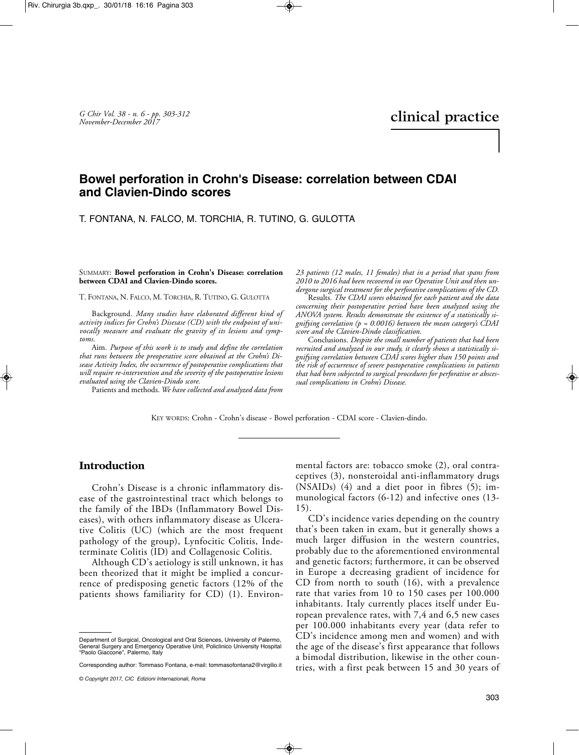# **Bowel perforation in Crohn's Disease: correlation between CDAI and Clavien-Dindo scores**

#### T. FONTANA, N. FALCO, M. TORCHIA, R. TUTINO, G. GULOTTA

SUMMARY: **Bowel perforation in Crohn's Disease: correlation between CDAI and Clavien-Dindo scores.**

T. FONTANA, N. FALCO, M. TORCHIA, R. TUTINO, G. GULOTTA

Background*. Many studies have elaborated different kind of activity indices for Crohn's Disesase (CD) with the endpoint of univocally measure and evaluate the gravity of its lesions and symptoms.*

Aim*. Purpose of this work is to study and define the correlation that runs between the preoperative score obtained at the Crohn's Disease Activity Index, the occurrence of postoperative complications that will require re-intervention and the severity of the postoperative lesions evaluated using the Clavien-Dindo score.*

Patients and methods. *We have collected and analyzed data from*

*23 patients (12 males, 11 females) that in a period that spans from 2010 to 2016 had been recovered in our Operative Unit and then undergone surgical treatment for the perforative complications of the CD.*

Results*. The CDAI scores obtained for each patient and the data concerning their postoperative period have been analyzed using the ANOVA system. Results demonstrate the existence of a statistically signifying correlation (p = 0.0016) between the mean category's CDAI score and the Clavien-Dindo classification.*

Conclusions*. Despite the small number of patients that had been recruited and analyzed in our study, it clearly shows a statistically signifying correlation between CDAI scores higher than 150 points and the risk of occurrence of severe postoperative complications in patients that had been subjected to surgical procedures for perforative or abscessual complications in Crohn's Disease.*

KEY WORDS: Crohn - Crohn's disease - Bowel perforation - CDAI score - Clavien-dindo.

### **Introduction**

Crohn's Disease is a chronic inflammatory disease of the gastrointestinal tract which belongs to the family of the IBDs (Inflammatory Bowel Diseases), with others inflammatory disease as Ulcerative Colitis (UC) (which are the most frequent pathology of the group), Lynfocitic Colitis, Indeterminate Colitis (ID) and Collagenosic Colitis.

Although CD's aetiology is still unknown, it has been theorized that it might be implied a concurrence of predisposing genetic factors (12% of the patients shows familiarity for CD) (1). Environmental factors are: tobacco smoke (2), oral contraceptives (3), nonsteroidal anti-inflammatory drugs  $(NSAIDs)$  (4) and a diet poor in fibres (5); immunological factors (6-12) and infective ones (13- 15).

CD's incidence varies depending on the country that's been taken in exam, but it generally shows a much larger diffusion in the western countries, probably due to the aforementioned environmental and genetic factors; furthermore, it can be observed in Europe a decreasing gradient of incidence for CD from north to south (16), with a prevalence rate that varies from 10 to 150 cases per 100.000 inhabitants. Italy currently places itself under European prevalence rates, with 7,4 and 6,5 new cases per 100.000 inhabitants every year (data refer to CD's incidence among men and women) and with the age of the disease's first appearance that follows a bimodal distribution, likewise in the other countries, with a first peak between 15 and 30 years of

Department of Surgical, Oncological and Oral Sciences, University of Palermo, General Surgery and Emergency Operative Unit, Policlinico University Hospital "Paolo Giaccone", Palermo, Italy

Corresponding author: Tommaso Fontana, e-mail: tommasofontana2@virgilio.it

*<sup>©</sup> Copyright 2017, CIC Edizioni Internazionali, Roma*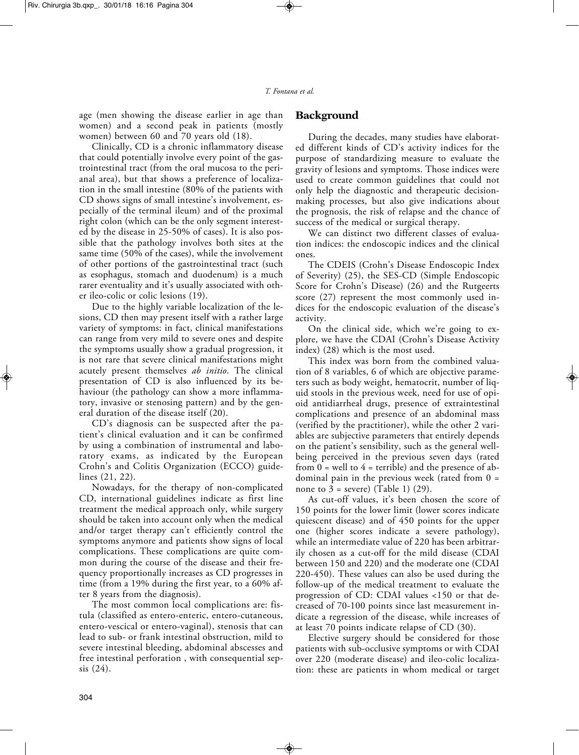age (men showing the disease earlier in age than women) and a second peak in patients (mostly women) between 60 and 70 years old (18).

Clinically, CD is a chronic inflammatory disease that could potentially involve every point of the gastrointestinal tract (from the oral mucosa to the perianal area), but that shows a preference of localization in the small intestine (80% of the patients with CD shows signs of small intestine's involvement, especially of the terminal ileum) and of the proximal right colon (which can be the only segment interested by the disease in 25-50% of cases). It is also possible that the pathology involves both sites at the same time (50% of the cases), while the involvement of other portions of the gastrointestinal tract (such as esophagus, stomach and duodenum) is a much rarer eventuality and it's usually associated with other ileo-colic or colic lesions (19).

Due to the highly variable localization of the lesions, CD then may present itself with a rather large variety of symptoms: in fact, clinical manifestations can range from very mild to severe ones and despite the symptoms usually show a gradual progression, it is not rare that severe clinical manifestations might acutely present themselves *ab initio*. The clinical presentation of CD is also influenced by its behaviour (the pathology can show a more inflammatory, invasive or stenosing pattern) and by the general duration of the disease itself (20).

CD's diagnosis can be suspected after the patient's clinical evaluation and it can be confirmed by using a combination of instrumental and laboratory exams, as indicated by the European Crohn's and Colitis Organization (ECCO) guidelines (21, 22).

Nowadays, for the therapy of non-complicated CD, international guidelines indicate as first line treatment the medical approach only, while surgery should be taken into account only when the medical and/or target therapy can't efficiently control the symptoms anymore and patients show signs of local complications. These complications are quite common during the course of the disease and their frequency proportionally increases as CD progresses in time (from a 19% during the first year, to a 60% after 8 years from the diagnosis).

The most common local complications are: fistula (classified as entero-enteric, entero-cutaneous, entero-vescical or entero-vaginal), stenosis that can lead to sub- or frank intestinal obstruction, mild to severe intestinal bleeding, abdominal abscesses and free intestinal perforation , with consequential sepsis (24).

### **Background**

During the decades, many studies have elaborated different kinds of CD's activity indices for the purpose of standardizing measure to evaluate the gravity of lesions and symptoms. Those indices were used to create common guidelines that could not only help the diagnostic and therapeutic decisionmaking processes, but also give indications about the prognosis, the risk of relapse and the chance of success of the medical or surgical therapy.

We can distinct two different classes of evaluation indices: the endoscopic indices and the clinical ones.

The CDEIS (Crohn's Disease Endoscopic Index of Severity) (25), the SES-CD (Simple Endoscopic Score for Crohn's Disease) (26) and the Rutgeerts score (27) represent the most commonly used indices for the endoscopic evaluation of the disease's activity.

On the clinical side, which we're going to explore, we have the CDAI (Crohn's Disease Activity index) (28) which is the most used.

This index was born from the combined valuation of 8 variables, 6 of which are objective parameters such as body weight, hematocrit, number of liquid stools in the previous week, need for use of opioid antidiarrheal drugs, presence of extraintestinal complications and presence of an abdominal mass (verified by the practitioner), while the other 2 variables are subjective parameters that entirely depends on the patient's sensibility, such as the general wellbeing perceived in the previous seven days (rated from  $0 =$  well to  $4 =$  terrible) and the presence of abdominal pain in the previous week (rated from  $0 =$ none to  $\overline{3}$  = severe) (Table 1) (29).

As cut-off values, it's been chosen the score of 150 points for the lower limit (lower scores indicate quiescent disease) and of 450 points for the upper one (higher scores indicate a severe pathology), while an intermediate value of 220 has been arbitrarily chosen as a cut-off for the mild disease (CDAI between 150 and 220) and the moderate one (CDAI 220-450). These values can also be used during the follow-up of the medical treatment to evaluate the progression of CD: CDAI values <150 or that decreased of 70-100 points since last measurement indicate a regression of the disease, while increases of at least 70 points indicate relapse of CD (30).

Elective surgery should be considered for those patients with sub-occlusive symptoms or with CDAI over 220 (moderate disease) and ileo-colic localization: these are patients in whom medical or target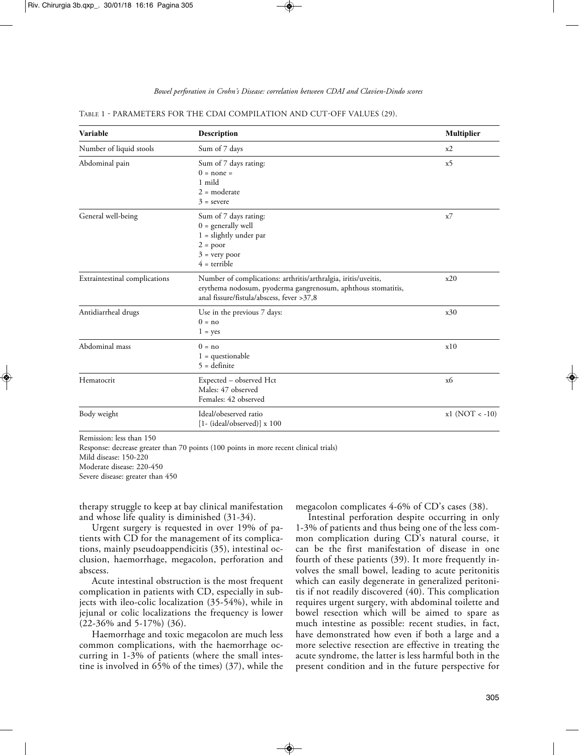| <b>Variable</b>               | <b>Description</b>                                                                                                                                                          | <b>Multiplier</b> |
|-------------------------------|-----------------------------------------------------------------------------------------------------------------------------------------------------------------------------|-------------------|
| Number of liquid stools       | Sum of 7 days                                                                                                                                                               | x2                |
| Abdominal pain                | x5                                                                                                                                                                          |                   |
| General well-being            | Sum of 7 days rating:<br>$0 =$ generally well<br>$1 =$ slightly under par<br>$2 = poor$<br>$3 = very poor$<br>$4 =$ terrible                                                | x7                |
| Extraintestinal complications | Number of complications: arthritis/arthralgia, iritis/uveitis,<br>erythema nodosum, pyoderma gangrenosum, aphthous stomatitis,<br>anal fissure/fistula/abscess, fever >37,8 | x20               |
| Antidiarrheal drugs           | Use in the previous 7 days:<br>$0 = no$<br>$1 = yes$                                                                                                                        | x30               |
| Abdominal mass                | $0 = no$<br>$1 =$ questionable<br>$5 =$ definite                                                                                                                            | x10               |
| Hematocrit                    | Expected – observed Hct<br>Males: 47 observed<br>Females: 42 observed                                                                                                       | x6                |
| Body weight                   | Ideal/obeserved ratio<br>$[1 - (ideal/observed)] \times 100$                                                                                                                | $x1 (NOT < -10)$  |

| TABLE 1 - PARAMETERS FOR THE CDAI COMPILATION AND CUT-OFF VALUES (29). |  |  |
|------------------------------------------------------------------------|--|--|
|------------------------------------------------------------------------|--|--|

Remission: less than 150

Response: decrease greater than 70 points (100 points in more recent clinical trials) Mild disease: 150-220 Moderate disease: 220-450 Severe disease: greater than 450

therapy struggle to keep at bay clinical manifestation and whose life quality is diminished (31-34).

Urgent surgery is requested in over 19% of patients with CD for the management of its complications, mainly pseudoappendicitis (35), intestinal occlusion, haemorrhage, megacolon, perforation and abscess.

Acute intestinal obstruction is the most frequent complication in patients with CD, especially in subjects with ileo-colic localization (35-54%), while in jejunal or colic localizations the frequency is lower (22-36% and 5-17%) (36).

Haemorrhage and toxic megacolon are much less common complications, with the haemorrhage occurring in 1-3% of patients (where the small intestine is involved in 65% of the times) (37), while the megacolon complicates 4-6% of CD's cases (38).

Intestinal perforation despite occurring in only 1-3% of patients and thus being one of the less common complication during CD's natural course, it can be the first manifestation of disease in one fourth of these patients (39). It more frequently involves the small bowel, leading to acute peritonitis which can easily degenerate in generalized peritonitis if not readily discovered (40). This complication requires urgent surgery, with abdominal toilette and bowel resection which will be aimed to spare as much intestine as possible: recent studies, in fact, have demonstrated how even if both a large and a more selective resection are effective in treating the acute syndrome, the latter is less harmful both in the present condition and in the future perspective for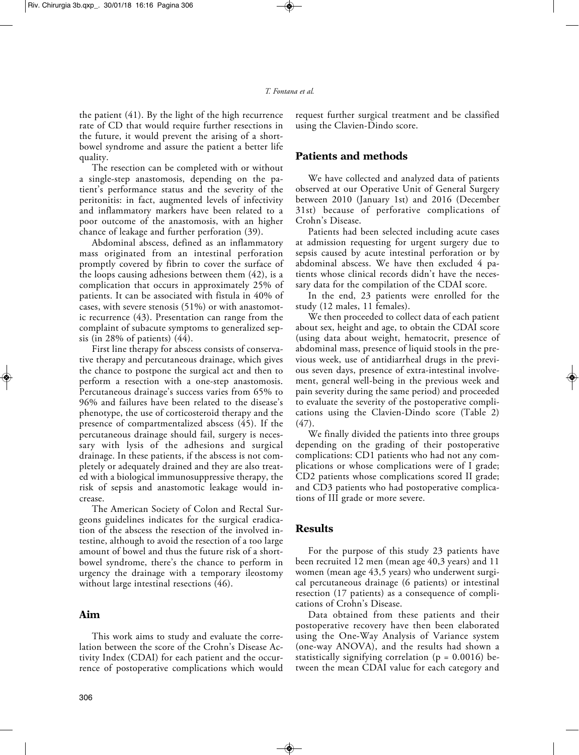the patient (41). By the light of the high recurrence rate of CD that would require further resections in the future, it would prevent the arising of a shortbowel syndrome and assure the patient a better life quality.

The resection can be completed with or without a single-step anastomosis, depending on the patient's performance status and the severity of the peritonitis: in fact, augmented levels of infectivity and inflammatory markers have been related to a poor outcome of the anastomosis, with an higher chance of leakage and further perforation (39).

Abdominal abscess, defined as an inflammatory mass originated from an intestinal perforation promptly covered by fibrin to cover the surface of the loops causing adhesions between them (42), is a complication that occurs in approximately 25% of patients. It can be associated with fistula in 40% of cases, with severe stenosis (51%) or with anastomotic recurrence (43). Presentation can range from the complaint of subacute symptoms to generalized sepsis (in 28% of patients) (44).

First line therapy for abscess consists of conservative therapy and percutaneous drainage, which gives the chance to postpone the surgical act and then to perform a resection with a one-step anastomosis. Percutaneous drainage's success varies from 65% to 96% and failures have been related to the disease's phenotype, the use of corticosteroid therapy and the presence of compartmentalized abscess (45). If the percutaneous drainage should fail, surgery is necessary with lysis of the adhesions and surgical drainage. In these patients, if the abscess is not completely or adequately drained and they are also treated with a biological immunosuppressive therapy, the risk of sepsis and anastomotic leakage would increase.

The American Society of Colon and Rectal Surgeons guidelines indicates for the surgical eradication of the abscess the resection of the involved intestine, although to avoid the resection of a too large amount of bowel and thus the future risk of a shortbowel syndrome, there's the chance to perform in urgency the drainage with a temporary ileostomy without large intestinal resections (46).

#### **Aim**

This work aims to study and evaluate the correlation between the score of the Crohn's Disease Activity Index (CDAI) for each patient and the occurrence of postoperative complications which would request further surgical treatment and be classified using the Clavien-Dindo score.

#### **Patients and methods**

We have collected and analyzed data of patients observed at our Operative Unit of General Surgery between 2010 (January 1st) and 2016 (December 31st) because of perforative complications of Crohn's Disease.

Patients had been selected including acute cases at admission requesting for urgent surgery due to sepsis caused by acute intestinal perforation or by abdominal abscess. We have then excluded 4 patients whose clinical records didn't have the necessary data for the compilation of the CDAI score.

In the end, 23 patients were enrolled for the study (12 males, 11 females).

We then proceeded to collect data of each patient about sex, height and age, to obtain the CDAI score (using data about weight, hematocrit, presence of abdominal mass, presence of liquid stools in the previous week, use of antidiarrheal drugs in the previous seven days, presence of extra-intestinal involvement, general well-being in the previous week and pain severity during the same period) and proceeded to evaluate the severity of the postoperative complications using the Clavien-Dindo score (Table 2) (47).

We finally divided the patients into three groups depending on the grading of their postoperative complications: CD1 patients who had not any complications or whose complications were of I grade; CD2 patients whose complications scored II grade; and CD3 patients who had postoperative complications of III grade or more severe.

### **Results**

For the purpose of this study 23 patients have been recruited 12 men (mean age 40,3 years) and 11 women (mean age 43,5 years) who underwent surgical percutaneous drainage (6 patients) or intestinal resection (17 patients) as a consequence of complications of Crohn's Disease.

Data obtained from these patients and their postoperative recovery have then been elaborated using the One-Way Analysis of Variance system (one-way ANOVA), and the results had shown a statistically signifying correlation ( $p = 0.0016$ ) between the mean CDAI value for each category and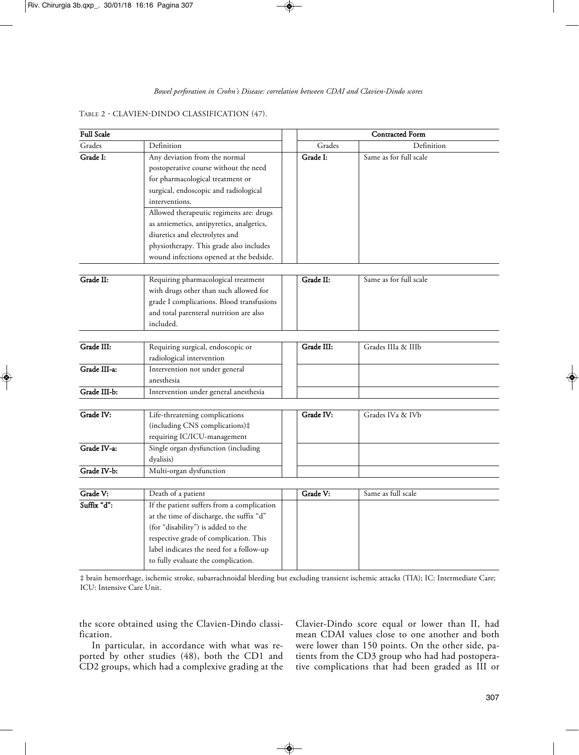#### TABLE 2 - CLAVIEN-DINDO CLASSIFICATION (47).

| <b>Full Scale</b> |                                                                                                                                                                                                                                                                                                                                            | <b>Contracted Form</b> |                        |  |  |
|-------------------|--------------------------------------------------------------------------------------------------------------------------------------------------------------------------------------------------------------------------------------------------------------------------------------------------------------------------------------------|------------------------|------------------------|--|--|
| Grades            | Definition                                                                                                                                                                                                                                                                                                                                 | Grades                 | Definition             |  |  |
| Grade I:          | Any deviation from the normal<br>postoperative course without the need<br>for pharmacological treatment or<br>surgical, endoscopic and radiological<br>interventions.<br>Allowed therapeutic regimens are: drugs<br>as antiemetics, antipyretics, analgetics,<br>diuretics and electrolytes and<br>physiotherapy. This grade also includes | Grade I:               | Same as for full scale |  |  |
|                   | wound infections opened at the bedside.                                                                                                                                                                                                                                                                                                    |                        |                        |  |  |
| Grade II:         | Requiring pharmacological treatment<br>with drugs other than such allowed for<br>grade I complications. Blood transfusions<br>and total parenteral nutrition are also<br>included.                                                                                                                                                         | Grade II:              | Same as for full scale |  |  |
| Grade III:        |                                                                                                                                                                                                                                                                                                                                            | Grade III:             | Grades IIIa & IIIb     |  |  |
|                   | Requiring surgical, endoscopic or<br>radiological intervention                                                                                                                                                                                                                                                                             |                        |                        |  |  |
| Grade III-a:      | Intervention not under general<br>anesthesia                                                                                                                                                                                                                                                                                               |                        |                        |  |  |
| Grade III-b:      | Intervention under general anesthesia                                                                                                                                                                                                                                                                                                      |                        |                        |  |  |
| Grade IV:         | Life-threatening complications<br>(including CNS complications)#<br>requiring IC/ICU-management                                                                                                                                                                                                                                            | Grade IV:              | Grades IVa & IVb       |  |  |
| Grade IV-a:       | Single organ dysfunction (including<br>dyalisis)                                                                                                                                                                                                                                                                                           |                        |                        |  |  |
| Grade IV-b:       | Multi-organ dysfunction                                                                                                                                                                                                                                                                                                                    |                        |                        |  |  |
| Grade V:          |                                                                                                                                                                                                                                                                                                                                            | Grade V:               | Same as full scale     |  |  |
| Suffix "d":       | Death of a patient<br>If the patient suffers from a complication<br>at the time of discharge, the suffix "d"<br>(for "disability") is added to the<br>respective grade of complication. This<br>label indicates the need for a follow-up<br>to fully evaluate the complication.                                                            |                        |                        |  |  |

‡ brain hemorrhage, ischemic stroke, subarrachnoidal bleeding but excluding transient ischemic attacks (TIA); IC: Intermediate Care; ICU: Intensive Care Unit.

the score obtained using the Clavien-Dindo classification.

In particular, in accordance with what was reported by other studies (48), both the CD1 and CD2 groups, which had a complexive grading at the Clavier-Dindo score equal or lower than II, had mean CDAI values close to one another and both were lower than 150 points. On the other side, patients from the CD3 group who had had postoperative complications that had been graded as III or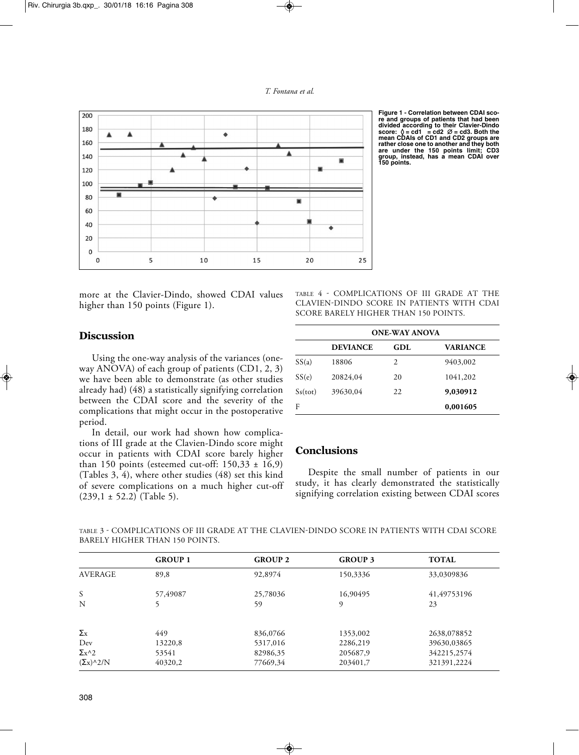



**Figure 1 - Correlation between CDAI score and groups of patients that had been divided according to their Clavier-Dindo score:** ◊ **= cd1 = cd2** ∆ **= cd3. Both the mean CDAIs of CD1 and CD2 groups are rather close one to another and they both are under the 150 points limit; CD3 group, instead, has a mean CDAI over 150 points.**

more at the Clavier-Dindo, showed CDAI values higher than 150 points (Figure 1).

TABLE 4 - COMPLICATIONS OF III GRADE AT THE CLAVIEN-DINDO SCORE IN PATIENTS WITH CDAI SCORE BARELY HIGHER THAN 150 POINTS.

### **Discussion**

Using the one-way analysis of the variances (oneway ANOVA) of each group of patients (CD1, 2, 3) we have been able to demonstrate (as other studies already had) (48) a statistically signifying correlation between the CDAI score and the severity of the complications that might occur in the postoperative period.

In detail, our work had shown how complications of III grade at the Clavien-Dindo score might occur in patients with CDAI score barely higher than 150 points (esteemed cut-off:  $150,33 \pm 16,9$ ) (Tables 3, 4), where other studies (48) set this kind of severe complications on a much higher cut-off  $(239,1 \pm 52.2)$  (Table 5).

|         | <b>ONE-WAY ANOVA</b> |     |                 |  |  |  |  |  |
|---------|----------------------|-----|-----------------|--|--|--|--|--|
|         | <b>DEVIANCE</b>      | GDL | <b>VARIANCE</b> |  |  |  |  |  |
| SS(a)   | 18806                | 2   | 9403,002        |  |  |  |  |  |
| SS(e)   | 20824,04             | 20  | 1041,202        |  |  |  |  |  |
| Ss(tot) | 39630,04             | 22  | 9,030912        |  |  |  |  |  |
| F       |                      |     | 0,001605        |  |  |  |  |  |

## **Conclusions**

Despite the small number of patients in our study, it has clearly demonstrated the statistically signifying correlation existing between CDAI scores

| TABLE 3 - COMPLICATIONS OF III GRADE AT THE CLAVIEN-DINDO SCORE IN PATIENTS WITH CDAI SCORE |  |  |  |  |  |  |  |  |  |
|---------------------------------------------------------------------------------------------|--|--|--|--|--|--|--|--|--|
| BARELY HIGHER THAN 150 POINTS.                                                              |  |  |  |  |  |  |  |  |  |

|                                                | <b>GROUP 1</b> | <b>GROUP 2</b> | <b>GROUP 3</b> | <b>TOTAL</b> |
|------------------------------------------------|----------------|----------------|----------------|--------------|
| <b>AVERAGE</b>                                 | 89,8           | 92,8974        | 150,3336       | 33,0309836   |
| S                                              | 57,49087       | 25,78036       | 16,90495       | 41,49753196  |
| N                                              |                | 59             | 9              | 23           |
| $\Sigma_{\rm X}$                               | 449            | 836,0766       | 1353,002       | 2638,078852  |
| Dev                                            | 13220,8        | 5317,016       | 2286,219       | 39630,03865  |
| $\Sigma$ <sub>x</sub> ^2                       | 53541          | 82986,35       | 205687,9       | 342215,2574  |
| $(\Sigma_X)$ <sup><math>\wedge</math>2/N</sup> | 40320,2        | 77669,34       | 203401,7       | 321391,2224  |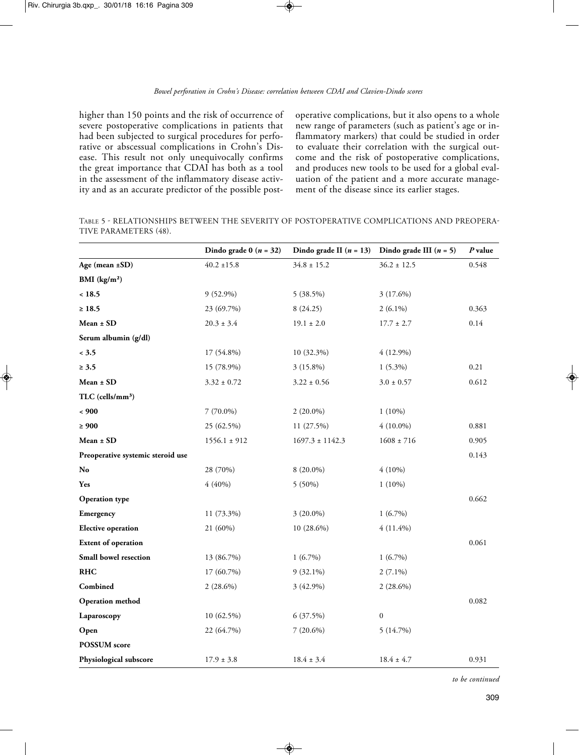higher than 150 points and the risk of occurrence of severe postoperative complications in patients that had been subjected to surgical procedures for perforative or abscessual complications in Crohn's Disease. This result not only unequivocally confirms the great importance that CDAI has both as a tool in the assessment of the inflammatory disease activity and as an accurate predictor of the possible postoperative complications, but it also opens to a whole new range of parameters (such as patient's age or inflammatory markers) that could be studied in order to evaluate their correlation with the surgical outcome and the risk of postoperative complications, and produces new tools to be used for a global evaluation of the patient and a more accurate management of the disease since its earlier stages.

TABLE 5 - RELATIONSHIPS BETWEEN THE SEVERITY OF POSTOPERATIVE COMPLICATIONS AND PREOPERA-TIVE PARAMETERS (48).

|                                   | Dindo grade $0(n = 32)$ | Dindo grade II $(n = 13)$ | Dindo grade III $(n = 5)$ | P value |
|-----------------------------------|-------------------------|---------------------------|---------------------------|---------|
| Age (mean ±SD)                    | $40.2 \pm 15.8$         | $34.8 \pm 15.2$           | $36.2 \pm 12.5$           | 0.548   |
| BMI $(kg/m2)$                     |                         |                           |                           |         |
| ~18.5                             | 9 (52.9%)               | 5 (38.5%)                 | 3 (17.6%)                 |         |
| $\geq 18.5$                       | 23 (69.7%)              | 8(24.25)                  | $2(6.1\%)$                | 0.363   |
| $Mean \pm SD$                     | $20.3 \pm 3.4$          | $19.1 \pm 2.0$            | $17.7 \pm 2.7$            | 0.14    |
| Serum albumin (g/dl)              |                         |                           |                           |         |
| < 3.5                             | 17 (54.8%)              | 10 (32.3%)                | $4(12.9\%)$               |         |
| $\geq 3.5$                        | 15 (78.9%)              | $3(15.8\%)$               | $1(5.3\%)$                | 0.21    |
| Mean ± SD                         | $3.32 \pm 0.72$         | $3.22 \pm 0.56$           | $3.0\pm0.57$              | 0.612   |
| $TLC$ (cells/mm <sup>3</sup> )    |                         |                           |                           |         |
| ~< 900                            | $7(70.0\%)$             | $2(20.0\%)$               | $1(10\%)$                 |         |
| $\geq 900$                        | 25 (62.5%)              | 11 (27.5%)                | $4(10.0\%)$               | 0.881   |
| Mean ± SD                         | $1556.1 \pm 912$        | $1697.3 \pm 1142.3$       | $1608 \pm 716$            | 0.905   |
| Preoperative systemic steroid use |                         |                           |                           | 0.143   |
| No                                | 28 (70%)                | 8 (20.0%)                 | $4(10\%)$                 |         |
| Yes                               | 4(40%)                  | 5 (50%)                   | $1(10\%)$                 |         |
| <b>Operation type</b>             |                         |                           |                           | 0.662   |
| Emergency                         | 11 (73.3%)              | 3 (20.0%)                 | $1(6.7\%)$                |         |
| <b>Elective operation</b>         | 21 (60%)                | 10 (28.6%)                | $4(11.4\%)$               |         |
| <b>Extent of operation</b>        |                         |                           |                           | 0.061   |
| Small bowel resection             | 13 (86.7%)              | $1(6.7\%)$                | $1(6.7\%)$                |         |
| <b>RHC</b>                        | 17 (60.7%)              | $9(32.1\%)$               | $2(7.1\%)$                |         |
| Combined                          | $2(28.6\%)$             | 3 (42.9%)                 | $2(28.6\%)$               |         |
| Operation method                  |                         |                           |                           | 0.082   |
| Laparoscopy                       | 10 (62.5%)              | 6(37.5%)                  | $\mathbf{0}$              |         |
| Open                              | 22 (64.7%)              | $7(20.6\%)$               | 5(14.7%)                  |         |
| <b>POSSUM</b> score               |                         |                           |                           |         |
| Physiological subscore            | $17.9 \pm 3.8$          | $18.4 \pm 3.4$            | $18.4 \pm 4.7$            | 0.931   |

*to be continued*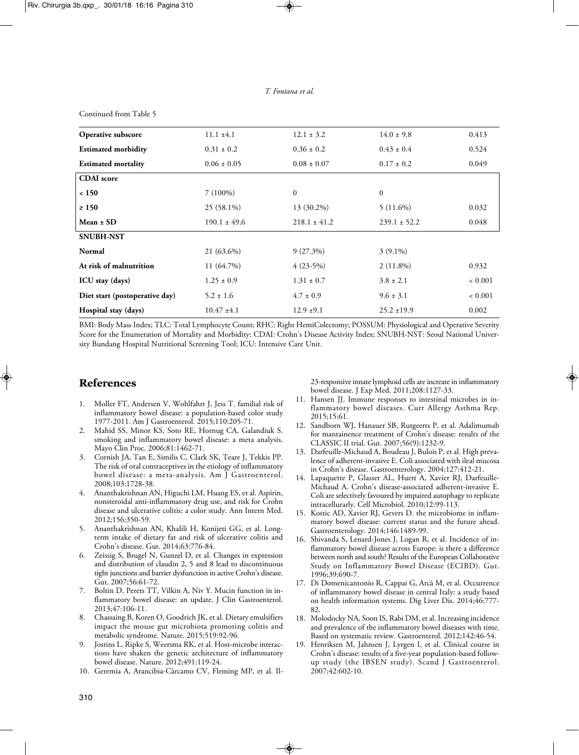Continued from Table 5

| Operative subscore             | $11.1 \pm 4.1$   | $12.1 \pm 3.2$   | $14.0 \pm 9.8$   | 0.413       |
|--------------------------------|------------------|------------------|------------------|-------------|
| <b>Estimated morbidity</b>     | $0.31 \pm 0.2$   | $0.36 \pm 0.2$   | $0.43 \pm 0.4$   | 0.524       |
| <b>Estimated mortality</b>     | $0.06 \pm 0.05$  | $0.08 \pm 0.07$  | $0.17 \pm 0.2$   | 0.049       |
| <b>CDAI</b> score              |                  |                  |                  |             |
| < 150                          | $7(100\%)$       | $\boldsymbol{0}$ | $\mathbf{0}$     |             |
| $\geq 150$                     | 25 (58.1%)       | 13 (30.2%)       | $5(11.6\%)$      | 0.032       |
| $Mean \pm SD$                  | $190.1 \pm 49.6$ | $218.1 \pm 41.2$ | $239.1 \pm 52.2$ | 0.048       |
| <b>SNUBH-NST</b>               |                  |                  |                  |             |
| Normal                         | 21 (63.6%)       | 9(27.3%)         | $3(9.1\%)$       |             |
| At risk of malnutrition        | 11 (64.7%)       | $4(23-5%)$       | $2(11.8\%)$      | 0.932       |
| ICU stay (days)                | $1.25 \pm 0.9$   | $1.31 \pm 0.7$   | $3.8 \pm 2.1$    | ${}< 0.001$ |
| Diet start (postoperative day) | $5.2 \pm 1.6$    | $4.7 \pm 0.9$    | $9.6 \pm 3.1$    | ${}< 0.001$ |
| Hospital stay (days)           | $10.47 \pm 4.1$  | $12.9 \pm 9.1$   | $25.2 \pm 19.9$  | 0.002       |

BMI: Body Mass Index; TLC: Total Lymphocyte Count; RHC: Right HemiColectomy; POSSUM: Physiological and Operative Severity Score for the Enumeration of Mortality and Morbidity; CDAI: Crohn's Disease Activity Index; SNUBH-NST: Seoul National University Bundang Hospital Nutritional Screening Tool; ICU: Intensive Care Unit.

## **References**

- 1. Moller FT, Andersen V, Wohlfahrt J, Jess T. familial risk of inflammatory bowel disease: a population-based color study 1977-2011. Am J Gastroenterol. 2015;110:205-71.
- 2. Mahid SS, Minor KS, Soto RE, Hornug CA, Galandiuk S. smoking and inflammatory bowel disease: a meta analysis. Mayo Clin Proc. 2006;81:1462-71.
- 3. Cornish JA, Tan E, Similis C, Clark SK, Teare J, Tekkis PP. The risk of oral contraceptives in the etiology of inflammatory bowel disease: a meta-analysis. Am J Gastroenterol. 2008;103:1728-38.
- 4. Ananthakrishnan AN, Higuchi LM, Huang ES, et al. Aspirin, nonsteroidal anti-inflammatory drug use, and risk for Crohn disease and ulcerative colitis: a color study. Ann Intern Med. 2012;156:350-59.
- 5. Ananthakrishnan AN, Khalili H, Konijeti GG, et al. Longterm intake of dietary fat and risk of ulcerative colitis and Crohn's disease. Gut. 2014;63:776-84.
- 6. Zeissig S, Brugel N, Gunzel D, et al. Changes in expression and distribution of claudin 2, 5 and 8 lead to discontinuous tight junctions and barrier dysfunction in active Crohn's disease. Gut. 2007;56:61-72.
- 7. Boltin D, Perets TT, Vilkin A, Niv Y. Mucin function in inflammatory bowel disease: an update. J Clin Gastroenterol. 2013;47:106-11.
- 8. Chassaing B, Koren O, Goodrich JK, et al. Dietary emulsifiers impact the mouse gut microbiota promoting colitis and metabolic syndrome. Nature. 2015;519:92-96.
- 9. Jostins L, Ripke S, Weersma RK, et al. Host-microbe interactions have shaken the genetic architecture of inflammatory bowel disease. Nature. 2012;491:119-24.
- 10. Geremia A, Arancibia-Càrcamo CV, Fleming MP, et al. Il-

23-responsive innate lymphoid cells are increate in inflammatory bowel disease. J Exp Med. 2011;208:1127-33.

- 11. Hansen JJ. Immune responses to intestinal microbes in inflammatory bowel diseases. Curr Allergy Asthma Rep. 2015;15:61.
- 12. Sandborn WJ, Hanauer SB, Rutgeerts P, et al. Adalimumab for mantainence treatment of Crohn's disease: results of the CLASSIC II trial. Gut. 2007;56(9):1232-9.
- 13. Darfeuille-Michaud A, Boudeau J, Bulois P, et al. High prevalence of adherent-invasive E. Coli associated with ileal mucosa in Crohn's disease. Gastroenterology. 2004;127:412-21.
- 14. Lapaquette P, Glasser AL, Huett A, Xavier RJ, Darfeuille-Michaud A. Crohn's disease-associated adherent-invasive E. Coli are selectively favoured by impaired autophagy to replicate intracellurarly. Cell Microbiol. 2010;12:99-113.
- 15. Kostic AD, Xavier RJ, Gevers D. the microbiome in inflammatory bowel disease: current status and the future ahead. Gastroenterology. 2014;146:1489-99.
- 16. Shivanda S, Lenard-Jones J, Logan R, et al. Incidence of inflammatory bowel disease across Europe: is there a difference between north and south? Results of the European Collaborative Study on Inflammatory Bowel Disease (ECIBD). Gut. 1996;39:690-7.
- 17. Di Domenicantonio R, Cappai G, Arcà M, et al. Occurrence of inflammatory bowel disease in central Italy: a study based on health information systems. Dig Liver Dis. 2014;46:777- 82.
- 18. Molodocky NA, Soon IS, Rabi DM, et al. Increasing incidence and prevalence of the inflammatory bowel diseases with time. Based on systematic review. Gastroenterol. 2012;142:46-54.
- 19. Henriksen M, Jahnsen J, Lyrgen I, et al. Clinical course in Crohn's disease: results of a five-year population-based followup study (the IBSEN study). Scand J Gastroenterol. 2007;42:602-10.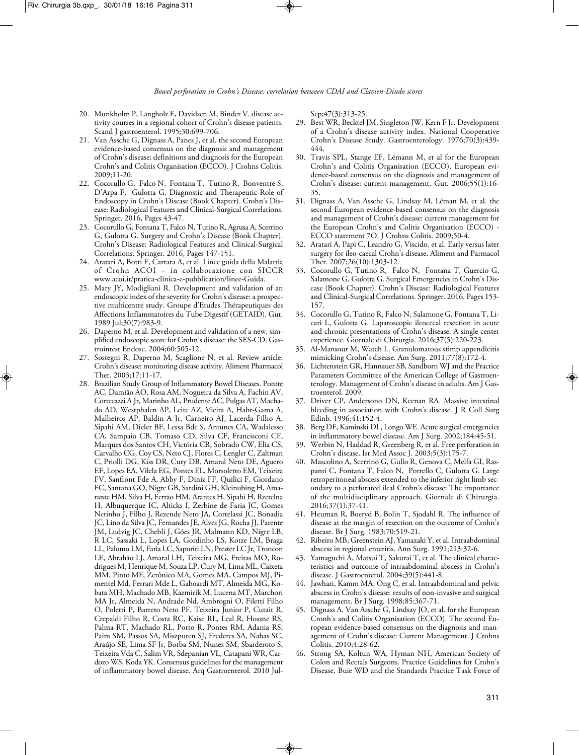- 20. Munkholm P, Langholz E, Davidsen M, Binder V. disease activity courses in a regional cohort of Crohn's disease patients. Scand J gastroenterol. 1995;30:699-706.
- 21. Van Assche G, Dignass A, Panes J, et al. the second European evidence-based consensus on the diagnosis and management of Crohn's disease: definitions and diagnosis for the European Crohn's and Colitis Organisation (ECCO). J Crohns Colitis. 2009;11-20.
- 22. Cocorullo G, Falco N, Fontana T, Tutino R, Bonventre S, D'Arpa F, Gulotta G. Diagnostic and Therapeutic Role of Endoscopy in Crohn's Disease (Book Chapter). Crohn's Disease: Radiological Features and Clinical-Surgical Correlations. Springer. 2016, Pages 43-47.
- 23. Cocorullo G, Fontana T, Falco N, Tutino R, Agrusa A, Scerrino G, Gulotta G. Surgery and Crohn's Disease (Book Chapter). Crohn's Disease: Radiological Features and Clinical-Surgical Correlations. Springer. 2016, Pages 147-151.
- 24. Aratari A, Botti F, Carrara A, et al. Linee guida della Malattia of Crohn ACOI – in collaborazione con SICCR www.acoi.it/pratica-clinica-e-pubblication/linee-Guida.
- 25. Mary JY, Modigliani R. Development and validation of an endoscopic index of the severity for Crohn's disease: a prospective multicentre study. Groupe d'Etudes Thérapeutiques des Affections Inflammatoires du Tube Digestif (GETAID). Gut. 1989 Jul;30(7):983-9.
- 26. Daperno M, et al. Development and validation of a new, simplified endoscopic score for Crohn's disease: the SES-CD. Gastrointest Endosc. 2004;60:505-12.
- 27. Sostegni R, Daperno M, Scaglione N, et al. Review article: Crohn's disease: monitoring disease activity. Aliment Pharmacol Ther. 2003;17:11-17.
- 28. Brazilian Study Group of Inflammatory Bowel Diseases. Pontte AC, Damião AO, Rosa AM, Nogueira da Silva A, Fachin AV, Cortecazzi A Jr, Marinho AL, Prudente AC, Pulgas AT, Machado AD, Westphalen AP, Leite AZ, Vieira A, Habr-Gama A, Malheiros AP, Baldin A Jr, Carneiro AJ, Lacerda Filho A, Sipahi AM, Dicler BF, Lessa Bde S, Antunes CA, Wadalesso CA, Sampaio CB, Tomaso CD, Silva CF, Francisconi CF, Marques dos Santos CH, Victória CR, Sobrado CW, Elia CS, Carvalho CG, Coy CS, Neto CJ, Flores C, Lengler C, Zaltman C, Priolli DG, Kiss DR, Cury DB, Amaral Neto DE, Aguero EF, Lopes EA, Vilela EG, Pontes EL, Morsoletto EM, Teixeira FV, Sanfront Fde A, Abby F, Diniz FF, Quilici F, Giordano FC, Santana GO, Nigre GB, Sardini GH, Kleinubing H, Amarante HM, Silva H, Ferrão HM, Arantes H, Sipahi H, Rzetelna H, Albuquerque IC, Alticks I, Zerbine de Faria JC, Gomes Netinho J, Filho J, Rezende Neto JA, Cortelassi JC, Bonadia JC, Lino da Silva JC, Fernandes JE, Alves JG, Rocha JJ, Parente JM, Ludvig JC, Chebli J, Góes JR, Malmann KD, Nigre LB, R LC, Sassaki L, Lopes LA, Gordinho LS, Kotze LM, Braga LL, Palomo LM, Faria LC, Saporiti LN, Prester LC Jr, Troncon LE, Abrahão LJ, Amaral LH, Teixeira MG, Freitas MO, Rodrigues M, Henrique M, Souza LP, Cury M, Lima ML, Caixeta MM, Pinto MF, Zerônico MA, Gomes MA, Campos MJ, Pimentel Md, Ferrari Mde L, Gaboardi MT, Almeida MG, Kobata MH, Machado MB, Kazmirik M, Lucena MT, Marchori MA Jr, Almeida N, Andrade Nd, Ambrogni O, Filetti Filho O, Poletti P, Barreto Neto PF, Teixeira Junior P, Cutait R, Crepaldi Filho R, Costa RC, Kaise RL, Leal R, Hossne RS, Palma RT, Machado RL, Porto R, Pontes RM, Adania RS, Paim SM, Passos SA, Miszputen SJ, Frederes SA, Nahas SC, Araújo SE, Lima SF Jr, Borba SM, Nunes SM, Sbarderoto S, Teixeira Vda C, Salim VR, Sdepanian VL, Catapani WR, Cardozo WS, Koda YK. Consensus guidelines for the management of inflammatory bowel disease. Arq Gastroenterol. 2010 Jul-

Sep;47(3):313-25.

- 29. Best WR, Becktel JM, Singleton JW, Kern F Jr. Development of a Crohn's disease activity index. National Cooperative Crohn's Disease Study. Gastroenterology. 1976;70(3):439- 444.
- 30. Travis SPL, Stange EF, Lémann M, et al for the European Crohn's and Colitis Organisation (ECCO). European evidence-based consensus on the diagnosis and management of Crohn's disease: current management. Gut. 2006;55(1):16- 35.
- 31. Dignass A, Van Assche G, Lindsay M, Léman M, et al. the second European evidence-based consensus on the diagnosis and management of Crohn's disease: current management for the European Crohn's and Colitis Organisation (ECCO) - ECCO statement 7O. J Crohns Colitis. 2009;50-4.
- 32. Aratari A, Papi C, Leandro G, Viscido, et al. Early versus later surgery for ileo-caecal Crohn's disease. Aliment and Parmacol Ther. 2007;26(10):1303-12.
- 33. Cocorullo G, Tutino R, Falco N, Fontana T, Guercio G, Salamone G, Gulotta G. Surgical Emergencies in Crohn's Disease (Book Chapter). Crohn's Disease: Radiological Features and Clinical-Surgical Correlations. Springer. 2016, Pages 153- 157.
- 34. Cocorullo G, Tutino R, Falco N, Salamone G, Fontana T, Licari L, Gulotta G. Laparoscopic ileocecal resection in acute and chronic presentations of Crohn's disease. A single center experience. Giornale di Chirurgia. 2016;37(5):220-223.
- 35. Al-Mansour M, Watch L. Granulomatous stimp appendicitis mimicking Crohn's disease. Am Surg. 2011;77(8):172-4.
- 36. Lichtenstein GR, Hannauer SB, Sandborn WJ and the Practice Parameters Committee of the American College of Gastroenterology. Management of Crohn's disease in adults. Am J Gastroenterol. 2009.
- 37. Driver CP, Andersono DN, Keenan RA. Massive intestinal bleeding in association with Crohn's disease. J R Coll Surg Edinb. 1996;41:152-4.
- 38. Berg DF, Kaminski DL, Longo WE. Acute surgical emergencies in inflammatory bowel disease. Am J Surg. 2002;184:45-51.
- 39. Werbin N, Haddad R, Greenberg R, et al. Free perforation in Crohn's disease. Isr Med Assoc J. 2003;5(3):175-7.
- 40. Mascolino A, Scerrino G, Gullo R, Genova C, Melfa GI, Raspanti C, Fontana T, Falco N, Porrello C, Gulotta G. Large retroperitoneal abscess extended to the inferior right limb secondary to a perforated ileal Crohn's disease: The importance of the multidisciplinary approach. Giornale di Chirurgia. 2016;37(1):37-41.
- 41. Heuman R, Boeryd B, Bolin T, Sjodahl R. The influence of disease at the margin of resection on the outcome of Crohn's disease. Br J Surg. 1983;70:519-21.
- 42. Ribeiro MB, Greenstein AJ, Yamazaki Y, et al. Intraabdominal abscess in regional enteritis. Ann Surg. 1991;213:32-6.
- 43. Yamaguchi A, Matsui T, Sakurai T, et al. The clinical characteristics and outcome of intraabdominal abscess in Crohn's disease. J Gastroenterol. 2004;39(5):441-8.
- Jawhari, Kamm MA, Ong C, et al. Intraabdominal and pelvic abscess in Crohn's disease: results of non-invasive and surgical management. Br J Surg. 1998;85:367-71.
- 45. Dignass A, Van Assche G, Lindsay JO, et al. for the European Cronh's and Colitis Organisation (ECCO). The second European evidence-based consensus on the diagnosis and management of Crohn's disease: Current Management. J Crohns Colitis. 2010;4:28-62.
- 46. Strong SA, Koltun WA, Hyman NH, American Society of Colon and Rectals Surgeons. Practice Guidelines for Crohn's Disease, Buie WD and the Standards Practice Task Force of